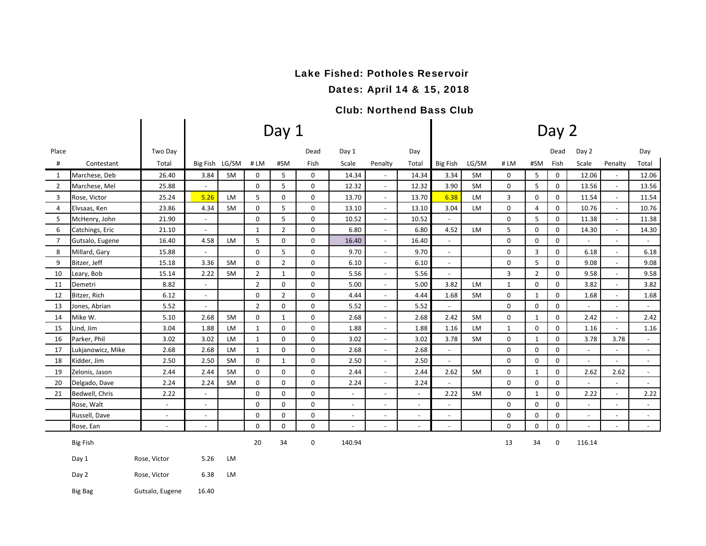### Lake Fished: Potholes Reservoir

Dates: April 14 & 15, 2018

### Club: Northend Bass Club

|                |                   |                          |                          |                |                | Day 1          |             |                          |                          | Day 2                    |                          |           |              |                |                         |                          |                          |                     |  |  |
|----------------|-------------------|--------------------------|--------------------------|----------------|----------------|----------------|-------------|--------------------------|--------------------------|--------------------------|--------------------------|-----------|--------------|----------------|-------------------------|--------------------------|--------------------------|---------------------|--|--|
| Place          |                   | Two Day                  |                          |                |                |                | Dead        | Day 1                    |                          | Day                      |                          |           |              |                | Dead                    | Day 2                    |                          | Day                 |  |  |
| #              | Contestant        | Total                    |                          | Big Fish LG/SM | #LM            | #SM            | Fish        | Scale                    | Penalty                  | Total                    | <b>Big Fish</b>          | LG/SM     | #LM          | #SM            | Fish                    | Scale                    | Penalty                  | Total               |  |  |
| 1              | Marchese, Deb     | 26.40                    | 3.84                     | <b>SM</b>      | 0              | 5              | 0           | 14.34                    |                          | 14.34                    | 3.34                     | <b>SM</b> | 0            | 5              | $\mathbf 0$             | 12.06                    |                          | 12.06               |  |  |
| $\overline{2}$ | Marchese, Mel     | 25.88                    | $\blacksquare$           |                | $\mathbf 0$    | 5              | 0           | 12.32                    | $\sim$                   | 12.32                    | 3.90                     | SM        | $\mathbf 0$  | 5              | $\mathsf{O}\phantom{0}$ | 13.56                    | $\blacksquare$           | 13.56               |  |  |
| 3              | Rose, Victor      | 25.24                    | 5.26                     | LM             | 5              | 0              | $\mathbf 0$ | 13.70                    | $\omega$                 | 13.70                    | 6.38                     | LM        | 3            | $\mathbf 0$    | $\mathbf 0$             | 11.54                    | $\blacksquare$           | 11.54               |  |  |
| 4              | Elvsaas, Ken      | 23.86                    | 4.34                     | <b>SM</b>      | 0              | 5              | $\mathbf 0$ | 13.10                    | $\blacksquare$           | 13.10                    | 3.04                     | LM        | 0            | $\overline{4}$ | $\mathbf 0$             | 10.76                    | $\blacksquare$           | 10.76               |  |  |
| 5              | McHenry, John     | 21.90                    | $\overline{\phantom{a}}$ |                | 0              | 5              | 0           | 10.52                    | $\blacksquare$           | 10.52                    |                          |           | 0            | 5              | 0                       | 11.38                    | $\blacksquare$           | 11.38               |  |  |
| 6              | Catchings, Eric   | 21.10                    | $\blacksquare$           |                | $\mathbf{1}$   | $\overline{2}$ | $\mathbf 0$ | 6.80                     | $\blacksquare$           | 6.80                     | 4.52                     | LM        | 5            | $\mathbf 0$    | $\mathbf 0$             | 14.30                    | $\blacksquare$           | 14.30               |  |  |
| 7              | Gutsalo, Eugene   | 16.40                    | 4.58                     | LM             | 5              | 0              | 0           | 16.40                    | $\sim$                   | 16.40                    | $ \,$                    |           | 0            | 0              | 0                       |                          | $\sim$                   | $\sim$              |  |  |
| 8              | Millard, Gary     | 15.88                    | ÷,                       |                | $\mathbf 0$    | 5              | $\mathbf 0$ | 9.70                     | $\sim$                   | 9.70                     | $\sim$                   |           | 0            | 3              | $\mathbf 0$             | 6.18                     | $\overline{\phantom{a}}$ | 6.18                |  |  |
| 9              | Bitzer, Jeff      | 15.18                    | 3.36                     | <b>SM</b>      | 0              | $\overline{2}$ | 0           | 6.10                     | $\sim$                   | 6.10                     | $\blacksquare$           |           | $\mathbf 0$  | 5              | 0                       | 9.08                     | $\overline{\phantom{a}}$ | 9.08                |  |  |
| 10             | Leary, Bob        | 15.14                    | 2.22                     | <b>SM</b>      | $\overline{2}$ | $\mathbf{1}$   | 0           | 5.56                     | $\sim$                   | 5.56                     | $\sim$                   |           | 3            | $\overline{2}$ | $\mathbf 0$             | 9.58                     | $\overline{\phantom{a}}$ | 9.58                |  |  |
| 11             | Demetri           | 8.82                     | $\sim$                   |                | $\overline{2}$ | 0              | $\mathbf 0$ | 5.00                     | $\sim$                   | 5.00                     | 3.82                     | LM        | $\mathbf{1}$ | 0              | 0                       | 3.82                     | $\sim$                   | 3.82                |  |  |
| 12             | Bitzer, Rich      | 6.12                     | $\overline{a}$           |                | $\mathbf 0$    | $\overline{2}$ | $\mathsf 0$ | 4.44                     | $\sim$                   | 4.44                     | 1.68                     | SM        | 0            | $\mathbf{1}$   | 0                       | 1.68                     | $\sim$                   | 1.68                |  |  |
| 13             | Jones, Abrian     | 5.52                     | $\overline{\phantom{a}}$ |                | 2              | 0              | 0           | 5.52                     | $\sim$                   | 5.52                     | $ \,$                    |           | $\mathbf 0$  | $\mathbf 0$    | $\mathbf 0$             | $\sim$                   | $\overline{\phantom{a}}$ | $\sim$              |  |  |
| 14             | Mike W.           | 5.10                     | 2.68                     | <b>SM</b>      | $\mathbf 0$    | $\mathbf{1}$   | 0           | 2.68                     | $\omega$                 | 2.68                     | 2.42                     | SM        | 0            | $\mathbf{1}$   | 0                       | 2.42                     | $\overline{\phantom{a}}$ | 2.42                |  |  |
| 15             | Lind, Jim         | 3.04                     | 1.88                     | LM             | $\mathbf{1}$   | 0              | $\mathbf 0$ | 1.88                     | $\sim$                   | 1.88                     | 1.16                     | LM        | $\mathbf{1}$ | $\Omega$       | $\mathbf 0$             | 1.16                     | $\blacksquare$           | 1.16                |  |  |
| 16             | Parker, Phil      | 3.02                     | 3.02                     | LM             | $\mathbf{1}$   | 0              | 0           | 3.02                     | $\overline{\phantom{a}}$ | 3.02                     | 3.78                     | <b>SM</b> | 0            | $\mathbf{1}$   | 0                       | 3.78                     | 3.78                     | $\sim$              |  |  |
| 17             | Lukjanowicz, Mike | 2.68                     | 2.68                     | LM             | 1              | 0              | $\mathbf 0$ | 2.68                     | $\overline{\phantom{a}}$ | 2.68                     | $\overline{\phantom{a}}$ |           | $\mathbf 0$  | $\Omega$       | $\mathbf 0$             | $\overline{\phantom{a}}$ | $\overline{\phantom{a}}$ | $\sim$              |  |  |
| 18             | Kidder, Jim       | 2.50                     | 2.50                     | <b>SM</b>      | 0              | $\mathbf{1}$   | 0           | 2.50                     | $\omega$                 | 2.50                     | $\sim$                   |           | $\mathbf 0$  | 0              | $\mathbf 0$             | $\overline{\phantom{a}}$ | $\overline{a}$           | $\sim$              |  |  |
| 19             | Zelonis, Jason    | 2.44                     | 2.44                     | <b>SM</b>      | 0              | 0              | $\mathbf 0$ | 2.44                     | $\sim$                   | 2.44                     | 2.62                     | <b>SM</b> | $\mathbf 0$  | 1              | $\mathbf 0$             | 2.62                     | 2.62                     | $\blacksquare$      |  |  |
| 20             | Delgado, Dave     | 2.24                     | 2.24                     | <b>SM</b>      | 0              | 0              | $\mathbf 0$ | 2.24                     | $\blacksquare$           | 2.24                     |                          |           | $\mathbf 0$  | $\Omega$       | $\mathbf 0$             |                          |                          | $\sim$              |  |  |
| 21             | Bedwell, Chris    | 2.22                     | $\blacksquare$           |                | $\mathbf 0$    | 0              | $\mathbf 0$ | $\blacksquare$           | $\overline{\phantom{a}}$ | $\blacksquare$           | 2.22                     | <b>SM</b> | $\mathbf 0$  | 1              | $\mathbf 0$             | 2.22                     | $\blacksquare$           | 2.22                |  |  |
|                | Rose, Walt        |                          | $\overline{a}$           |                | 0              | 0              | 0           | $\sim$                   | $\overline{\phantom{a}}$ | $\overline{\phantom{a}}$ | $\overline{\phantom{0}}$ |           | 0            | $\mathbf 0$    | 0                       | $\blacksquare$           | $\overline{\phantom{a}}$ | $\sim$              |  |  |
|                | Russell, Dave     | $\overline{\phantom{a}}$ | $\blacksquare$           |                | $\mathbf 0$    | 0              | 0           | $\overline{\phantom{a}}$ | $\sim$                   | $\overline{\phantom{a}}$ | $\sim$                   |           | $\mathbf 0$  | $\mathbf 0$    | 0                       | $\overline{\phantom{a}}$ | $\sim$                   | $\sim$              |  |  |
|                | Rose, Ean         | $\blacksquare$           | $\overline{a}$           |                | 0              | 0              | 0           |                          | $\overline{a}$           | $\overline{\phantom{a}}$ | $\overline{\phantom{a}}$ |           | $\mathbf 0$  | 0              | 0                       | $\sim$                   | $\overline{\phantom{a}}$ | $\mathcal{L}^{\pm}$ |  |  |
|                | <b>Big Fish</b>   |                          |                          |                | 20             | 34             | 0           | 140.94                   |                          |                          |                          |           | 13           | 34             | 0                       | 116.14                   |                          |                     |  |  |
|                | Day 1             | Rose, Victor             | 5.26                     | LM             |                |                |             |                          |                          |                          |                          |           |              |                |                         |                          |                          |                     |  |  |
|                | Day 2             | Rose, Victor             | 6.38                     | LM             |                |                |             |                          |                          |                          |                          |           |              |                |                         |                          |                          |                     |  |  |

Big Bag Gutsalo, Eugene 16.40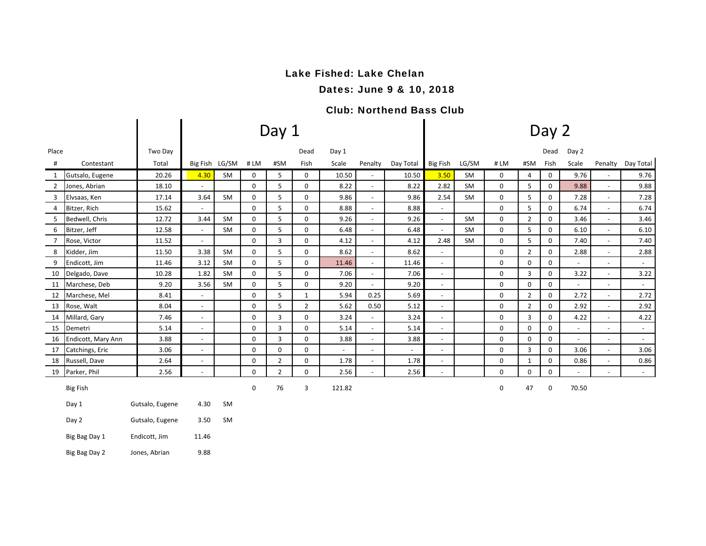# Lake Fished: Lake Chelan

Dates: June 9 & 10, 2018

### Club: Northend Bass Club

|                |                    |                 |                          |           |             | Day 1          |                |                          |                          | Day 2     |                          |           |      |                |             |                          |                              |                     |  |  |
|----------------|--------------------|-----------------|--------------------------|-----------|-------------|----------------|----------------|--------------------------|--------------------------|-----------|--------------------------|-----------|------|----------------|-------------|--------------------------|------------------------------|---------------------|--|--|
| Place          |                    | Two Day         |                          |           |             |                | Dead           | Day 1                    |                          |           |                          |           |      |                | Dead        | Day 2                    |                              |                     |  |  |
| $\sharp$       | Contestant         | Total           | Big Fish LG/SM           |           | #LM         | #SM            | Fish           | Scale                    | Penalty                  | Day Total | <b>Big Fish</b>          | LG/SM     | # LM | #SM            | Fish        | Scale                    | Penalty                      | Day Total           |  |  |
| 1              | Gutsalo, Eugene    | 20.26           | 4.30                     | <b>SM</b> | 0           | 5              | 0              | 10.50                    | $\sim$                   | 10.50     | 3.50                     | SM        | 0    | 4              | 0           | 9.76                     |                              | 9.76                |  |  |
| $\overline{2}$ | Jones, Abrian      | 18.10           | $\blacksquare$           |           | $\mathbf 0$ | 5              | $\mathbf 0$    | 8.22                     | $\overline{\phantom{a}}$ | 8.22      | 2.82                     | <b>SM</b> | 0    | 5              | $\mathbf 0$ | 9.88                     | $\overline{\phantom{a}}$     | 9.88                |  |  |
| 3              | Elvsaas, Ken       | 17.14           | 3.64                     | <b>SM</b> | 0           | 5              | 0              | 9.86                     | $\sim$                   | 9.86      | 2.54                     | SM        | 0    | 5              | 0           | 7.28                     | $\overline{\phantom{a}}$     | 7.28                |  |  |
| $\overline{4}$ | Bitzer, Rich       | 15.62           | $\sim$                   |           | $\mathbf 0$ | 5              | 0              | 8.88                     | $\overline{\phantom{a}}$ | 8.88      | $\sim$                   |           | 0    | 5              | 0           | 6.74                     | $\sim$                       | 6.74                |  |  |
| 5              | Bedwell, Chris     | 12.72           | 3.44                     | <b>SM</b> | 0           | 5              | 0              | 9.26                     | $\overline{\phantom{a}}$ | 9.26      | $\blacksquare$           | SM        | 0    | $\overline{2}$ | 0           | 3.46                     | $\sim$                       | 3.46                |  |  |
| 6              | Bitzer, Jeff       | 12.58           | $\sim$                   | SM        | 0           | 5              | 0              | 6.48                     | $\blacksquare$           | 6.48      | $\overline{\phantom{a}}$ | SM        | 0    | 5              | 0           | 6.10                     | $\overline{\phantom{a}}$     | 6.10                |  |  |
| $\overline{7}$ | Rose, Victor       | 11.52           | $\sim$                   |           | 0           | 3              | $\mathbf 0$    | 4.12                     | $\blacksquare$           | 4.12      | 2.48                     | SM        | 0    | 5              | $\mathbf 0$ | 7.40                     | $\overline{\phantom{a}}$     | 7.40                |  |  |
| 8              | Kidder, Jim        | 11.50           | 3.38                     | <b>SM</b> | 0           | 5              | 0              | 8.62                     | $\overline{\phantom{0}}$ | 8.62      | $\sim$                   |           | 0    | $\overline{2}$ | 0           | 2.88                     | $\overline{a}$               | 2.88                |  |  |
| 9              | Endicott, Jim      | 11.46           | 3.12                     | SM        | $\mathbf 0$ | 5              | $\mathbf 0$    | 11.46                    | $\blacksquare$           | 11.46     | $\overline{\phantom{a}}$ |           | 0    | $\mathbf 0$    | 0           | $\sim$                   | $\sim$                       | $\sim$              |  |  |
| 10             | Delgado, Dave      | 10.28           | 1.82                     | <b>SM</b> | 0           | 5              | 0              | 7.06                     | $\overline{\phantom{a}}$ | 7.06      | $\blacksquare$           |           | 0    | 3              | 0           | 3.22                     | $\overline{\phantom{a}}$     | 3.22                |  |  |
| 11             | Marchese, Deb      | 9.20            | 3.56                     | SM        | 0           | 5              | 0              | 9.20                     | $\blacksquare$           | 9.20      | $\overline{\phantom{a}}$ |           | 0    | $\mathbf 0$    | 0           | $\sim$                   | $\overline{a}$               | $\sim$              |  |  |
| 12             | Marchese, Mel      | 8.41            | $\sim$                   |           | 0           | 5              | 1              | 5.94                     | 0.25                     | 5.69      | $\overline{\phantom{a}}$ |           | 0    | $\overline{2}$ | 0           | 2.72                     | $\overline{\phantom{a}}$     | 2.72                |  |  |
| 13             | Rose, Walt         | 8.04            | $\blacksquare$           |           | 0           | 5              | $\overline{2}$ | 5.62                     | 0.50                     | 5.12      | $\overline{\phantom{a}}$ |           | 0    | $\overline{2}$ | 0           | 2.92                     | $\overline{\phantom{a}}$     | 2.92                |  |  |
| 14             | Millard, Gary      | 7.46            | $\overline{\phantom{a}}$ |           | 0           | 3              | 0              | 3.24                     | $\overline{\phantom{a}}$ | 3.24      | $\overline{\phantom{a}}$ |           | 0    | $\overline{3}$ | 0           | 4.22                     | $\overline{\phantom{a}}$     | 4.22                |  |  |
| 15             | Demetri            | 5.14            | $\overline{\phantom{a}}$ |           | $\mathbf 0$ | 3              | 0              | 5.14                     | $\overline{\phantom{a}}$ | 5.14      | $\overline{\phantom{a}}$ |           | 0    | $\mathbf 0$    | 0           | $\blacksquare$           | $\qquad \qquad \blacksquare$ | $\sim$              |  |  |
| 16             | Endicott, Mary Ann | 3.88            | $\sim$                   |           | 0           | 3              | 0              | 3.88                     | $\blacksquare$           | 3.88      | $\sim$                   |           | 0    | 0              | 0           | $\sim$                   | $\overline{a}$               | $\sim$              |  |  |
| 17             | Catchings, Eric    | 3.06            | $\sim$                   |           | 0           | 0              | 0              | $\overline{\phantom{a}}$ | $\blacksquare$           |           | $\blacksquare$           |           | 0    | $\overline{3}$ | 0           | 3.06                     | $\overline{\phantom{a}}$     | 3.06                |  |  |
| 18             | Russell, Dave      | 2.64            | $\sim$                   |           | 0           | 2              | 0              | 1.78                     | $\blacksquare$           | 1.78      | $\blacksquare$           |           | 0    | $\mathbf{1}$   | 0           | 0.86                     | ٠                            | 0.86                |  |  |
| 19             | Parker, Phil       | 2.56            | $\overline{\phantom{a}}$ |           | $\mathbf 0$ | $\overline{2}$ | 0              | 2.56                     | $\overline{\phantom{0}}$ | 2.56      | $\overline{\phantom{a}}$ |           | 0    | $\mathbf 0$    | 0           | $\overline{\phantom{a}}$ | $\overline{a}$               | $\omega_{\rm{max}}$ |  |  |
|                | <b>Big Fish</b>    |                 |                          |           | 0           | 76             | 3              | 121.82                   |                          |           |                          |           | 0    | 47             | 0           | 70.50                    |                              |                     |  |  |
|                | Day 1              | Gutsalo, Eugene | 4.30                     | <b>SM</b> |             |                |                |                          |                          |           |                          |           |      |                |             |                          |                              |                     |  |  |
|                | Day 2              | Gutsalo, Eugene | 3.50                     | <b>SM</b> |             |                |                |                          |                          |           |                          |           |      |                |             |                          |                              |                     |  |  |
|                | Big Bag Day 1      | Endicott, Jim   | 11.46                    |           |             |                |                |                          |                          |           |                          |           |      |                |             |                          |                              |                     |  |  |

Big Bag Day 2 Jones, Abrian 9.88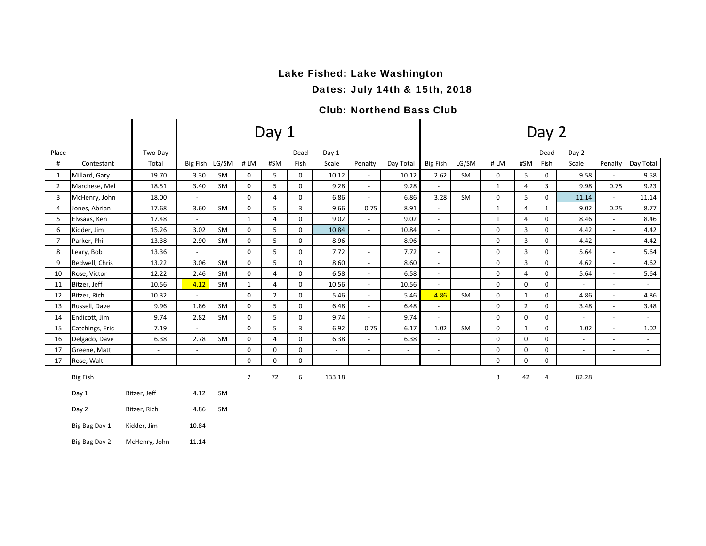# Lake Fished: Lake Washington

Dates: July 14th & 15th, 2018

### Club: Northend Bass Club

|                |                 |                          |                          |           |                | Day $1$        |             |                          |                          |                          |                          |           |              |                | Day 2        |                          |                              |                     |
|----------------|-----------------|--------------------------|--------------------------|-----------|----------------|----------------|-------------|--------------------------|--------------------------|--------------------------|--------------------------|-----------|--------------|----------------|--------------|--------------------------|------------------------------|---------------------|
| Place          |                 | Two Day                  |                          |           |                |                | Dead        | Day 1                    |                          |                          |                          |           |              |                | Dead         | Day 2                    |                              |                     |
| #              | Contestant      | Total                    | Big Fish LG/SM           |           | #LM            | #SM            | Fish        | Scale                    | Penalty                  | Day Total                | <b>Big Fish</b>          | LG/SM     | #LM          | #SM            | Fish         | Scale                    | Penalty                      | Day Total           |
| $\mathbf{1}$   | Millard, Gary   | 19.70                    | 3.30                     | <b>SM</b> | 0              | 5              | 0           | 10.12                    | $\overline{\phantom{a}}$ | 10.12                    | 2.62                     | <b>SM</b> | $\mathbf{0}$ | 5              | 0            | 9.58                     |                              | 9.58                |
| $\overline{2}$ | Marchese, Mel   | 18.51                    | 3.40                     | <b>SM</b> | 0              | 5              | 0           | 9.28                     | $\blacksquare$           | 9.28                     | $\blacksquare$           |           | $\mathbf{1}$ | 4              | 3            | 9.98                     | 0.75                         | 9.23                |
| 3              | McHenry, John   | 18.00                    | $\omega$                 |           | $\Omega$       | 4              | 0           | 6.86                     | $\blacksquare$           | 6.86                     | 3.28                     | <b>SM</b> | $\mathbf 0$  | 5              | 0            | 11.14                    | $\mathcal{L}_{\mathcal{A}}$  | 11.14               |
| $\overline{4}$ | Jones, Abrian   | 17.68                    | 3.60                     | SM        | $\mathbf 0$    | 5              | 3           | 9.66                     | 0.75                     | 8.91                     | $\sim$                   |           | $\mathbf{1}$ | 4              | $\mathbf{1}$ | 9.02                     | 0.25                         | 8.77                |
| 5              | Elvsaas, Ken    | 17.48                    | $\blacksquare$           |           | $\mathbf{1}$   | 4              | 0           | 9.02                     | $\blacksquare$           | 9.02                     | $\overline{\phantom{a}}$ |           | $\mathbf{1}$ | $\overline{4}$ | $\Omega$     | 8.46                     | $\blacksquare$               | 8.46                |
| 6              | Kidder, Jim     | 15.26                    | 3.02                     | <b>SM</b> | $\mathbf 0$    | 5              | 0           | 10.84                    | $\blacksquare$           | 10.84                    | $\overline{\phantom{a}}$ |           | 0            | 3              | 0            | 4.42                     | $\overline{\phantom{a}}$     | 4.42                |
| $\overline{7}$ | Parker, Phil    | 13.38                    | 2.90                     | <b>SM</b> | $\mathbf 0$    | 5              | 0           | 8.96                     | $\sim$                   | 8.96                     | $\overline{\phantom{a}}$ |           | 0            | 3              | 0            | 4.42                     | $\blacksquare$               | 4.42                |
| 8              | Leary, Bob      | 13.36                    | $\omega$                 |           | $\mathbf 0$    | 5              | 0           | 7.72                     | $\blacksquare$           | 7.72                     | $\blacksquare$           |           | 0            | $\overline{3}$ | 0            | 5.64                     | $\overline{\phantom{a}}$     | 5.64                |
| 9              | Bedwell, Chris  | 13.22                    | 3.06                     | SM        | $\mathbf 0$    | 5              | 0           | 8.60                     | $\blacksquare$           | 8.60                     | $\overline{\phantom{a}}$ |           | 0            | 3              | 0            | 4.62                     | $\blacksquare$               | 4.62                |
| 10             | Rose, Victor    | 12.22                    | 2.46                     | <b>SM</b> | $\mathbf 0$    | 4              | 0           | 6.58                     | $\blacksquare$           | 6.58                     | $\blacksquare$           |           | $\mathbf 0$  | $\overline{4}$ | 0            | 5.64                     | $\sim$                       | 5.64                |
| 11             | Bitzer, Jeff    | 10.56                    | 4.12                     | SM        | $\mathbf{1}$   | 4              | 0           | 10.56                    | $\blacksquare$           | 10.56                    | $\overline{\phantom{a}}$ |           | 0            | 0              | 0            | $\sim$                   | $\sim$                       | $\sim$              |
| 12             | Bitzer, Rich    | 10.32                    | $\overline{\phantom{a}}$ |           | $\mathbf 0$    | $\overline{2}$ | 0           | 5.46                     | $\blacksquare$           | 5.46                     | 4.86                     | SM        | 0            | $\mathbf{1}$   | 0            | 4.86                     | $\blacksquare$               | 4.86                |
| 13             | Russell, Dave   | 9.96                     | 1.86                     | <b>SM</b> | $\mathbf 0$    | 5              | 0           | 6.48                     | $\sim$                   | 6.48                     | $\overline{\phantom{a}}$ |           | 0            | $\overline{2}$ | 0            | 3.48                     | $\overline{\phantom{a}}$     | 3.48                |
| 14             | Endicott, Jim   | 9.74                     | 2.82                     | <b>SM</b> | $\mathbf 0$    | 5              | $\mathbf 0$ | 9.74                     | $\blacksquare$           | 9.74                     | $\sim$                   |           | $\Omega$     | $\Omega$       | $\Omega$     | $\mathcal{L}^{\pm}$      | $\sim$                       | $\sim$              |
| 15             | Catchings, Eric | 7.19                     | $\sim$                   |           | $\mathbf 0$    | 5              | 3           | 6.92                     | 0.75                     | 6.17                     | 1.02                     | SM        | 0            | $\mathbf{1}$   | $\Omega$     | 1.02                     | $\sim$                       | 1.02                |
| 16             | Delgado, Dave   | 6.38                     | 2.78                     | <b>SM</b> | $\Omega$       | 4              | $\Omega$    | 6.38                     | $\sim$                   | 6.38                     | $\blacksquare$           |           | $\mathbf 0$  | $\Omega$       | $\Omega$     | $\omega$                 | $\blacksquare$               | $\mathcal{L}^{\pm}$ |
| 17             | Greene, Matt    | $\blacksquare$           | $\overline{\phantom{a}}$ |           | $\mathbf 0$    | 0              | 0           | $\sim$                   | $\blacksquare$           | $-$                      | $\blacksquare$           |           | 0            | $\mathbf 0$    | 0            | $\sim$                   | $\sim$                       | $\sim$              |
| 17             | Rose, Walt      | $\overline{\phantom{a}}$ | $\overline{\phantom{a}}$ |           | $\Omega$       | $\Omega$       | 0           | $\overline{\phantom{a}}$ | $\blacksquare$           | $\overline{\phantom{a}}$ | ٠                        |           | $\Omega$     | $\Omega$       | $\Omega$     | $\overline{\phantom{a}}$ | $\qquad \qquad \blacksquare$ | $\sim$              |
|                | <b>Big Fish</b> |                          |                          |           | $\overline{2}$ | 72             | 6           | 133.18                   |                          |                          |                          |           | 3            | 42             | 4            | 82.28                    |                              |                     |
|                | Day 1           | Bitzer, Jeff             | 4.12                     | SM        |                |                |             |                          |                          |                          |                          |           |              |                |              |                          |                              |                     |
|                | Day 2           | Bitzer, Rich             | 4.86                     | SM        |                |                |             |                          |                          |                          |                          |           |              |                |              |                          |                              |                     |
|                | Big Bag Day 1   | Kidder, Jim              | 10.84                    |           |                |                |             |                          |                          |                          |                          |           |              |                |              |                          |                              |                     |

Big Bag Day 2 McHenry, John 11.14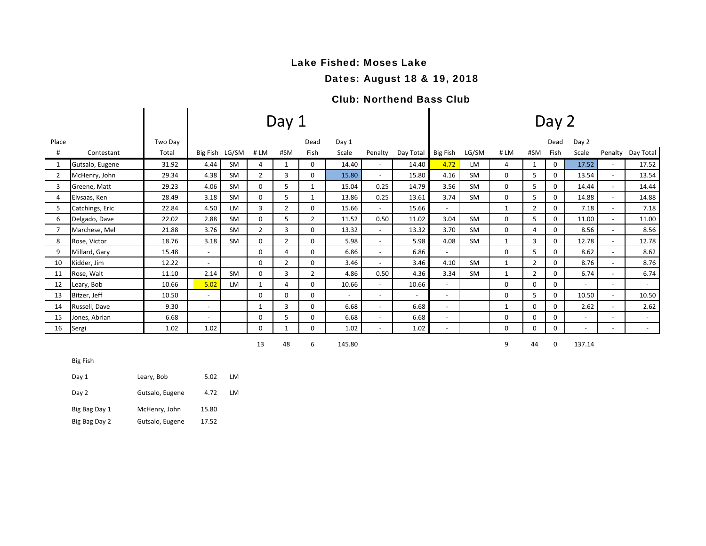## Lake Fished: Moses Lake

### Dates: August 18 & 19, 2018

#### Club: Northend Bass Club

|              |                 |         |                |           |                | Day 1          |                | Day 2                    |                          |                          |                          |           |              |                |          |                          |                          |           |
|--------------|-----------------|---------|----------------|-----------|----------------|----------------|----------------|--------------------------|--------------------------|--------------------------|--------------------------|-----------|--------------|----------------|----------|--------------------------|--------------------------|-----------|
| Place        |                 | Two Day |                |           |                |                | Dead           | Day 1                    |                          |                          |                          |           |              |                | Dead     | Day 2                    |                          |           |
| #            | Contestant      | Total   | Big Fish LG/SM |           | #LM            | #SM            | Fish           | Scale                    | Penalty                  | Day Total                | Big Fish                 | LG/SM     | #LM          | #SM            | Fish     | Scale                    | Penalty                  | Day Total |
| 1            | Gutsalo, Eugene | 31.92   | 4.44           | SM        | 4              | 1              | 0              | 14.40                    | $\overline{\phantom{a}}$ | 14.40                    | 4.72                     | <b>LM</b> | 4            | $\mathbf{1}$   | 0        | 17.52                    | $\sim$                   | 17.52     |
| 2            | McHenry, John   | 29.34   | 4.38           | SM        | $\overline{2}$ | 3              | 0              | 15.80                    | $\overline{\phantom{a}}$ | 15.80                    | 4.16                     | <b>SM</b> | 0            | 5              | 0        | 13.54                    | $\sim$                   | 13.54     |
| $\mathbf{3}$ | Greene, Matt    | 29.23   | 4.06           | SM        | 0              | 5              | $\mathbf{1}$   | 15.04                    | 0.25                     | 14.79                    | 3.56                     | <b>SM</b> | 0            | 5              | 0        | 14.44                    | $\sim$                   | 14.44     |
| 4            | Elvsaas, Ken    | 28.49   | 3.18           | <b>SM</b> | 0              | 5              | 1              | 13.86                    | 0.25                     | 13.61                    | 3.74                     | <b>SM</b> | 0            | 5              | 0        | 14.88                    | $\sim$                   | 14.88     |
| 5            | Catchings, Eric | 22.84   | 4.50           | LM        | 3              | $\overline{2}$ | $\Omega$       | 15.66                    | $\overline{\phantom{a}}$ | 15.66                    | $\sim$                   |           | $\mathbf{1}$ | 2              | 0        | 7.18                     | $\sim$                   | 7.18      |
| 6            | Delgado, Dave   | 22.02   | 2.88           | <b>SM</b> | 0              | 5              | $\overline{2}$ | 11.52                    | 0.50                     | 11.02                    | 3.04                     | <b>SM</b> | 0            | 5              | 0        | 11.00                    | $\overline{\phantom{a}}$ | 11.00     |
| 7            | Marchese, Mel   | 21.88   | 3.76           | <b>SM</b> | $\overline{2}$ | 3              | $\Omega$       | 13.32                    | $\overline{\phantom{a}}$ | 13.32                    | 3.70                     | <b>SM</b> | 0            | 4              | $\Omega$ | 8.56                     | $\sim$                   | 8.56      |
| 8            | Rose, Victor    | 18.76   | 3.18           | SM        | 0              | $\overline{2}$ | 0              | 5.98                     | $\overline{\phantom{a}}$ | 5.98                     | 4.08                     | <b>SM</b> | $\mathbf{1}$ | 3              | 0        | 12.78                    | $\sim$                   | 12.78     |
| 9            | Millard, Gary   | 15.48   |                |           | 0              | 4              | 0              | 6.86                     | $\overline{\phantom{a}}$ | 6.86                     | $\sim$                   |           | 0            | 5              | 0        | 8.62                     | $\sim$                   | 8.62      |
| 10           | Kidder, Jim     | 12.22   |                |           | 0              | $\overline{2}$ | 0              | 3.46                     | $\overline{\phantom{a}}$ | 3.46                     | 4.10                     | <b>SM</b> | 1            | $\overline{2}$ | 0        | 8.76                     |                          | 8.76      |
| 11           | Rose, Walt      | 11.10   | 2.14           | <b>SM</b> | 0              | 3              | $\overline{2}$ | 4.86                     | 0.50                     | 4.36                     | 3.34                     | <b>SM</b> | $\mathbf{1}$ | $\overline{2}$ | 0        | 6.74                     |                          | 6.74      |
| 12           | Leary, Bob      | 10.66   | 5.02           | LM        | $\mathbf{1}$   | 4              | 0              | 10.66                    | $\overline{\phantom{a}}$ | 10.66                    | $\sim$                   |           | 0            | $\Omega$       | 0        | $\overline{\phantom{a}}$ | $\sim$                   | $\sim$    |
| 13           | Bitzer, Jeff    | 10.50   |                |           | 0              | 0              | 0              | $\overline{\phantom{a}}$ | $\overline{\phantom{a}}$ | $\overline{\phantom{a}}$ | $\sim$                   |           | 0            | 5              | 0        | 10.50                    | $\sim$                   | 10.50     |
| 14           | Russell, Dave   | 9.30    |                |           |                | 3              | 0              | 6.68                     | $\overline{\phantom{a}}$ | 6.68                     | $\overline{a}$           |           | $\mathbf{1}$ | 0              | 0        | 2.62                     |                          | 2.62      |
| 15           | Jones, Abrian   | 6.68    |                |           | 0              | 5              | 0              | 6.68                     | $\overline{\phantom{a}}$ | 6.68                     | $\sim$                   |           | 0            | 0              | 0        | $\overline{\phantom{a}}$ | $\sim$                   | $\sim$    |
| 16           | Sergi           | 1.02    | 1.02           |           | 0              |                | $\mathbf 0$    | 1.02                     | $\overline{\phantom{a}}$ | 1.02                     | $\overline{\phantom{a}}$ |           | 0            | 0              | 0        | $\overline{\phantom{a}}$ | $\sim$                   | $\sim$    |

48 6 145.80 9 44 0 137.14

Big Fish

| Day 1         | Leary, Bob      | 5.02  | LM  |
|---------------|-----------------|-------|-----|
| Day 2         | Gutsalo, Eugene | 4.72  | IM. |
| Big Bag Day 1 | McHenry, John   | 15.80 |     |
| Big Bag Day 2 | Gutsalo, Eugene | 17.52 |     |